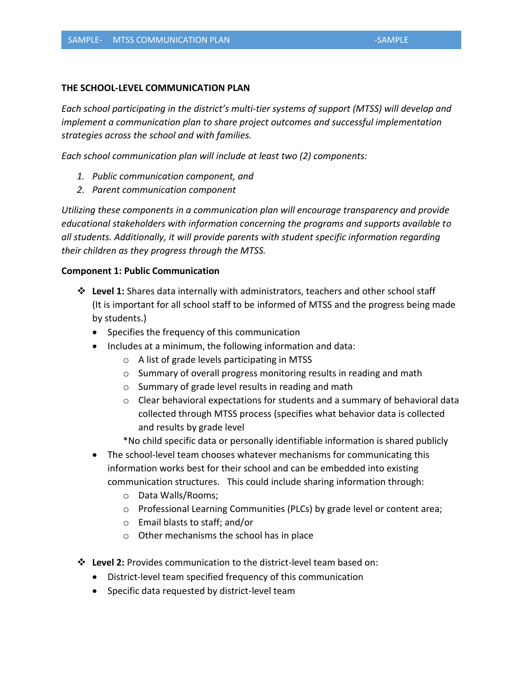## **THE SCHOOL-LEVEL COMMUNICATION PLAN**

*Each school participating in the district's multi-tier systems of support (MTSS) will develop and implement a communication plan to share project outcomes and successful implementation strategies across the school and with families.*

*Each school communication plan will include at least two (2) components:* 

- *1. Public communication component, and*
- *2. Parent communication component*

*Utilizing these components in a communication plan will encourage transparency and provide educational stakeholders with information concerning the programs and supports available to all students. Additionally, it will provide parents with student specific information regarding their children as they progress through the MTSS.*

## **Component 1: Public Communication**

- ❖ **Level 1:** Shares data internally with administrators, teachers and other school staff (It is important for all school staff to be informed of MTSS and the progress being made by students.)
	- Specifies the frequency of this communication
	- Includes at a minimum, the following information and data:
		- o A list of grade levels participating in MTSS
		- $\circ$  Summary of overall progress monitoring results in reading and math
		- o Summary of grade level results in reading and math
		- $\circ$  Clear behavioral expectations for students and a summary of behavioral data collected through MTSS process (specifies what behavior data is collected and results by grade level

\*No child specific data or personally identifiable information is shared publicly

- The school-level team chooses whatever mechanisms for communicating this information works best for their school and can be embedded into existing communication structures. This could include sharing information through:
	- o Data Walls/Rooms;
	- o Professional Learning Communities (PLCs) by grade level or content area;
	- o Email blasts to staff; and/or
	- o Other mechanisms the school has in place
- ❖ **Level 2:** Provides communication to the district-level team based on:
	- District-level team specified frequency of this communication
	- Specific data requested by district-level team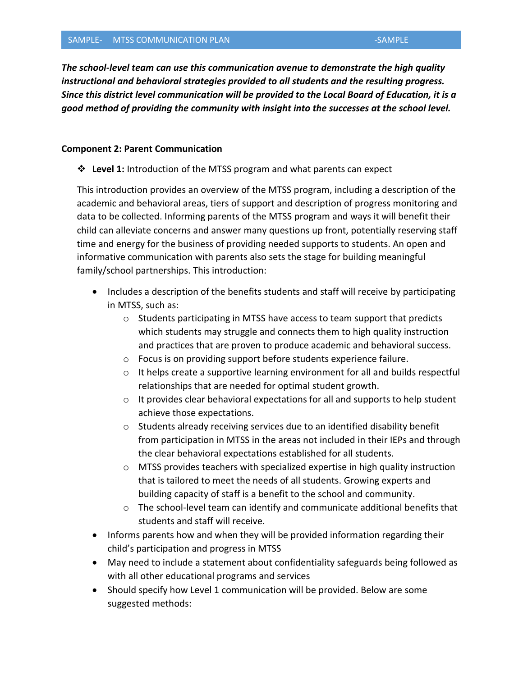*The school-level team can use this communication avenue to demonstrate the high quality instructional and behavioral strategies provided to all students and the resulting progress. Since this district level communication will be provided to the Local Board of Education, it is a good method of providing the community with insight into the successes at the school level.*

## **Component 2: Parent Communication**

❖ **Level 1:** Introduction of the MTSS program and what parents can expect

This introduction provides an overview of the MTSS program, including a description of the academic and behavioral areas, tiers of support and description of progress monitoring and data to be collected. Informing parents of the MTSS program and ways it will benefit their child can alleviate concerns and answer many questions up front, potentially reserving staff time and energy for the business of providing needed supports to students. An open and informative communication with parents also sets the stage for building meaningful family/school partnerships. This introduction:

- Includes a description of the benefits students and staff will receive by participating in MTSS, such as:
	- o Students participating in MTSS have access to team support that predicts which students may struggle and connects them to high quality instruction and practices that are proven to produce academic and behavioral success.
	- o Focus is on providing support before students experience failure.
	- $\circ$  It helps create a supportive learning environment for all and builds respectful relationships that are needed for optimal student growth.
	- $\circ$  It provides clear behavioral expectations for all and supports to help student achieve those expectations.
	- o Students already receiving services due to an identified disability benefit from participation in MTSS in the areas not included in their IEPs and through the clear behavioral expectations established for all students.
	- $\circ$  MTSS provides teachers with specialized expertise in high quality instruction that is tailored to meet the needs of all students. Growing experts and building capacity of staff is a benefit to the school and community.
	- $\circ$  The school-level team can identify and communicate additional benefits that students and staff will receive.
- Informs parents how and when they will be provided information regarding their child's participation and progress in MTSS
- May need to include a statement about confidentiality safeguards being followed as with all other educational programs and services
- Should specify how Level 1 communication will be provided. Below are some suggested methods: